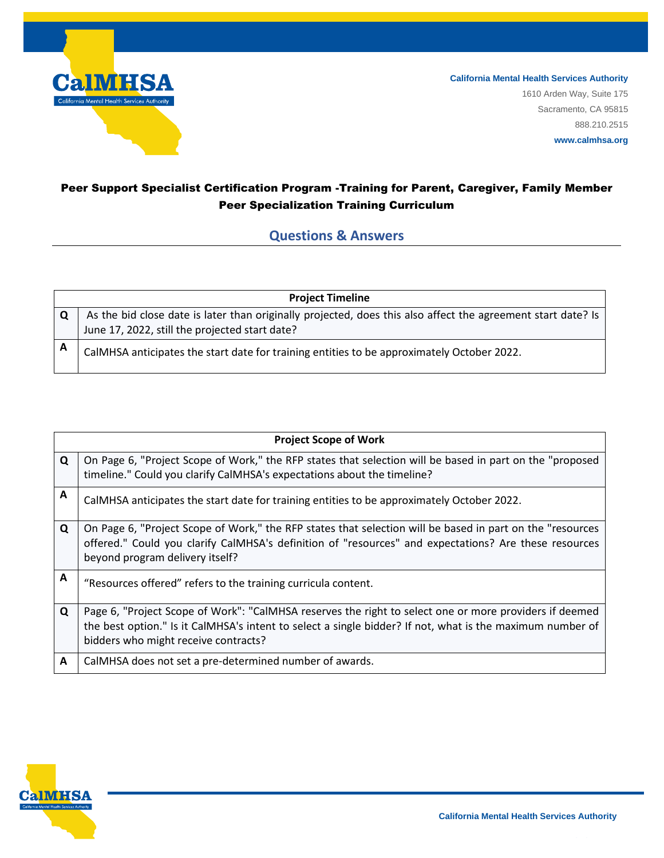

## Peer Support Specialist Certification Program -Training for Parent, Caregiver, Family Member Peer Specialization Training Curriculum

## **Questions & Answers**

| <b>Project Timeline</b> |                                                                                                              |  |
|-------------------------|--------------------------------------------------------------------------------------------------------------|--|
| $\Omega$                | As the bid close date is later than originally projected, does this also affect the agreement start date? Is |  |
|                         | June 17, 2022, still the projected start date?                                                               |  |
| A                       | CalMHSA anticipates the start date for training entities to be approximately October 2022.                   |  |

| <b>Project Scope of Work</b> |                                                                                                                                                                                                                                                             |
|------------------------------|-------------------------------------------------------------------------------------------------------------------------------------------------------------------------------------------------------------------------------------------------------------|
| Q                            | On Page 6, "Project Scope of Work," the RFP states that selection will be based in part on the "proposed<br>timeline." Could you clarify CalMHSA's expectations about the timeline?                                                                         |
| A                            | CalMHSA anticipates the start date for training entities to be approximately October 2022.                                                                                                                                                                  |
| Q                            | On Page 6, "Project Scope of Work," the RFP states that selection will be based in part on the "resources<br>offered." Could you clarify CalMHSA's definition of "resources" and expectations? Are these resources<br>beyond program delivery itself?       |
| A                            | "Resources offered" refers to the training curricula content.                                                                                                                                                                                               |
| $\mathbf Q$                  | Page 6, "Project Scope of Work": "CalMHSA reserves the right to select one or more providers if deemed<br>the best option." Is it CalMHSA's intent to select a single bidder? If not, what is the maximum number of<br>bidders who might receive contracts? |
| A                            | CalMHSA does not set a pre-determined number of awards.                                                                                                                                                                                                     |



**www.calmhsa.org**